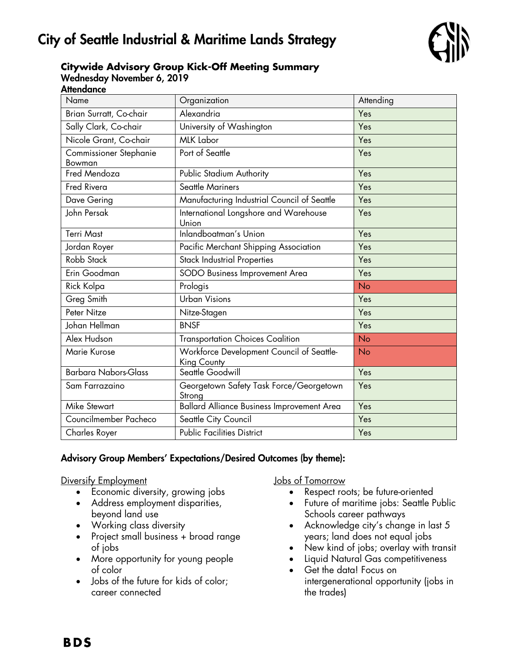# City of Seattle Industrial & Maritime Lands Strategy



#### **Citywide Advisory Group Kick-Off Meeting Summary** Wednesday November 6, 2019 **Attendance**

| Name                             | Organization                                             | Attending |
|----------------------------------|----------------------------------------------------------|-----------|
| Brian Surratt, Co-chair          | Alexandria                                               | Yes       |
| Sally Clark, Co-chair            | University of Washington                                 | Yes       |
| Nicole Grant, Co-chair           | <b>MLK Labor</b>                                         | Yes       |
| Commissioner Stephanie<br>Bowman | Port of Seattle                                          | Yes       |
| Fred Mendoza                     | Public Stadium Authority                                 | Yes       |
| <b>Fred Rivera</b>               | <b>Seattle Mariners</b>                                  | Yes       |
| Dave Gering                      | Manufacturing Industrial Council of Seattle              | Yes       |
| John Persak                      | International Longshore and Warehouse<br>Union           | Yes       |
| <b>Terri Mast</b>                | Inlandboatman's Union                                    | Yes       |
| Jordan Royer                     | Pacific Merchant Shipping Association                    | Yes       |
| Robb Stack                       | <b>Stack Industrial Properties</b>                       | Yes       |
| Erin Goodman                     | SODO Business Improvement Area                           | Yes       |
| Rick Kolpa                       | Prologis                                                 | No        |
| Greg Smith                       | <b>Urban Visions</b>                                     | Yes       |
| Peter Nitze                      | Nitze-Stagen                                             | Yes       |
| Johan Hellman                    | <b>BNSF</b>                                              | Yes       |
| Alex Hudson                      | <b>Transportation Choices Coalition</b>                  | <b>No</b> |
| Marie Kurose                     | Workforce Development Council of Seattle-<br>King County | <b>No</b> |
| <b>Barbara Nabors-Glass</b>      | Seattle Goodwill                                         | Yes       |
| Sam Farrazaino                   | Georgetown Safety Task Force/Georgetown<br>Strong        | Yes       |
| <b>Mike Stewart</b>              | Ballard Alliance Business Improvement Area               | Yes       |
| Councilmember Pacheco            | Seattle City Council                                     | Yes       |
| <b>Charles Royer</b>             | <b>Public Facilities District</b>                        | Yes       |

### Advisory Group Members' Expectations/Desired Outcomes (by theme):

Diversify Employment

- Economic diversity, growing jobs
- Address employment disparities, beyond land use
- Working class diversity
- Project small business + broad range of jobs
- More opportunity for young people of color
- Jobs of the future for kids of color; career connected

Jobs of Tomorrow

- Respect roots; be future-oriented
- Future of maritime jobs: Seattle Public Schools career pathways
- Acknowledge city's change in last 5 years; land does not equal jobs
- New kind of jobs; overlay with transit
- Liquid Natural Gas competitiveness
- Get the data! Focus on intergenerational opportunity (jobs in the trades)